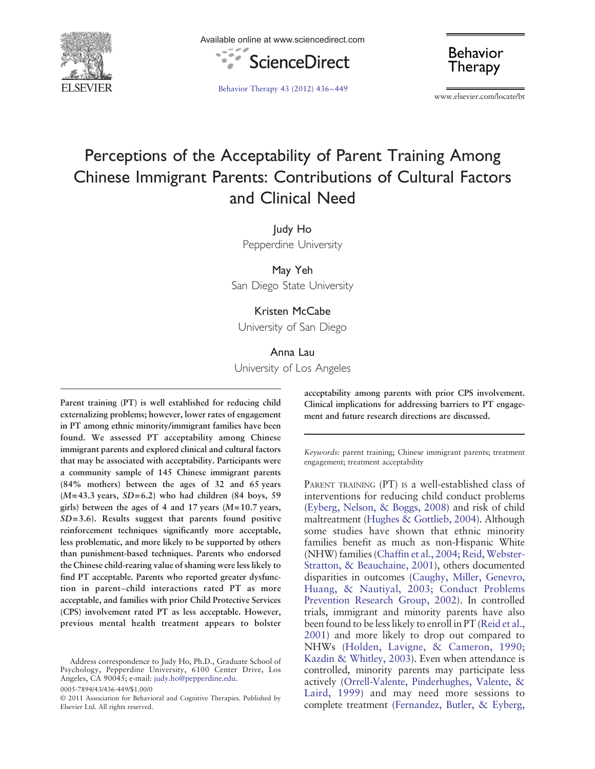

Available online at www.sciencedirect.com



**Behavior** Therapy

[Behavior Therapy 43 \(2012\) 436](http://dx.doi.org/)–449

www.elsevier.com/locate/bt

# Perceptions of the Acceptability of Parent Training Among Chinese Immigrant Parents: Contributions of Cultural Factors and Clinical Need

Judy Ho Pepperdine University

May Yeh San Diego State University

Kristen McCabe University of San Diego

# Anna Lau

University of Los Angeles

Parent training (PT) is well established for reducing child externalizing problems; however, lower rates of engagement in PT among ethnic minority/immigrant families have been found. We assessed PT acceptability among Chinese immigrant parents and explored clinical and cultural factors that may be associated with acceptability. Participants were a community sample of 145 Chinese immigrant parents (84% mothers) between the ages of 32 and 65 years  $(M= 43.3 \text{ years}, SD= 6.2)$  who had children (84 boys, 59) girls) between the ages of 4 and 17 years (M= 10.7 years,  $SD = 3.6$ . Results suggest that parents found positive reinforcement techniques significantly more acceptable, less problematic, and more likely to be supported by others than punishment-based techniques. Parents who endorsed the Chinese child-rearing value of shaming were less likely to find PT acceptable. Parents who reported greater dysfunction in parent–child interactions rated PT as more acceptable, and families with prior Child Protective Services (CPS) involvement rated PT as less acceptable. However, previous mental health treatment appears to bolster

0005-7894/43/436-449/\$1.00/0

acceptability among parents with prior CPS involvement. Clinical implications for addressing barriers to PT engagement and future research directions are discussed.

Keywords: parent training; Chinese immigrant parents; treatment engagement; treatment acceptability

PARENT TRAINING (PT) IS a well-established class of interventions for reducing child conduct problems [\(Eyberg, Nelson, & Boggs, 2008](#page-12-0)) and risk of child maltreatment ([Hughes & Gottlieb, 2004](#page-12-0)). Although some studies have shown that ethnic minority families benefit as much as non-Hispanic White (NHW) families [\(Chaffin et al., 2004; Reid, Webster-](#page-12-0)[Stratton, & Beauchaine, 2001\)](#page-12-0), others documented disparities in outcomes [\(Caughy, Miller, Genevro,](#page-12-0) [Huang, & Nautiyal, 2003; Conduct Problems](#page-12-0) [Prevention Research Group, 2002](#page-12-0)). In controlled trials, immigrant and minority parents have also been found to be less likely to enroll in PT ([Reid et al.,](#page-13-0) [2001\)](#page-13-0) and more likely to drop out compared to NHWs ([Holden, Lavigne, & Cameron, 1990;](#page-12-0) [Kazdin & Whitley, 2003\)](#page-12-0). Even when attendance is controlled, minority parents may participate less actively [\(Orrell-Valente, Pinderhughes, Valente, &](#page-13-0) [Laird, 1999\)](#page-13-0) and may need more sessions to complete treatment ([Fernandez, Butler, & Eyberg,](#page-12-0)

Address correspondence to Judy Ho, Ph.D., Graduate School of Psychology, Pepperdine University, 6100 Center Drive, Los Angeles, CA 90045; e-mail: [judy.ho@pepperdine.edu.](mailto:judy.ho@pepperdine.edu)

<sup>© 2011</sup> Association for Behavioral and Cognitive Therapies. Published by Elsevier Ltd. All rights reserved.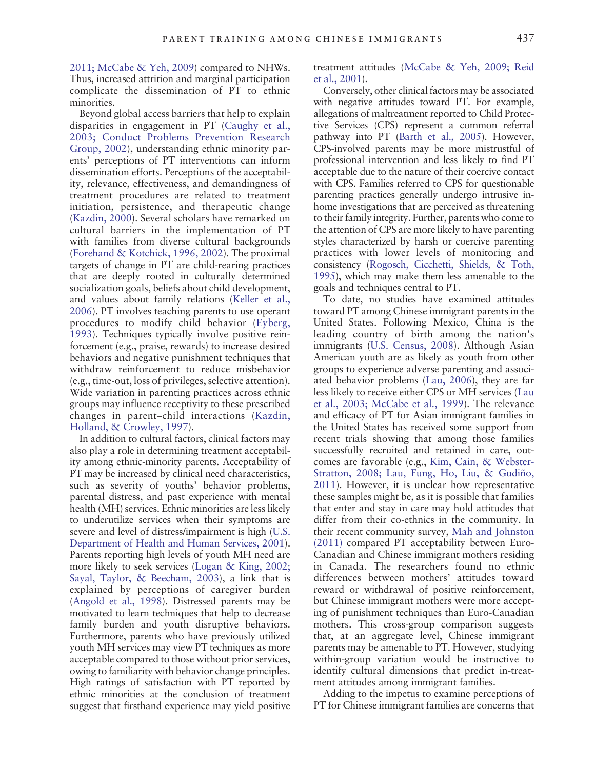[2011; McCabe & Yeh, 2009\)](#page-12-0) compared to NHWs. Thus, increased attrition and marginal participation complicate the dissemination of PT to ethnic minorities.

Beyond global access barriers that help to explain disparities in engagement in PT [\(Caughy et al.,](#page-12-0) [2003; Conduct Problems Prevention Research](#page-12-0) [Group, 2002\)](#page-12-0), understanding ethnic minority parents' perceptions of PT interventions can inform dissemination efforts. Perceptions of the acceptability, relevance, effectiveness, and demandingness of treatment procedures are related to treatment initiation, persistence, and therapeutic change [\(Kazdin, 2000\)](#page-12-0). Several scholars have remarked on cultural barriers in the implementation of PT with families from diverse cultural backgrounds [\(Forehand & Kotchick, 1996, 2002\)](#page-12-0). The proximal targets of change in PT are child-rearing practices that are deeply rooted in culturally determined socialization goals, beliefs about child development, and values about family relations ([Keller et al.,](#page-12-0) [2006\)](#page-12-0). PT involves teaching parents to use operant procedures to modify child behavior ([Eyberg,](#page-12-0) [1993\)](#page-12-0). Techniques typically involve positive reinforcement (e.g., praise, rewards) to increase desired behaviors and negative punishment techniques that withdraw reinforcement to reduce misbehavior (e.g., time-out, loss of privileges, selective attention). Wide variation in parenting practices across ethnic groups may influence receptivity to these prescribed changes in parent–child interactions ([Kazdin,](#page-12-0) [Holland, & Crowley, 1997\)](#page-12-0).

In addition to cultural factors, clinical factors may also play a role in determining treatment acceptability among ethnic-minority parents. Acceptability of PT may be increased by clinical need characteristics, such as severity of youths' behavior problems, parental distress, and past experience with mental health (MH) services. Ethnic minorities are less likely to underutilize services when their symptoms are severe and level of distress/impairment is high ([U.S.](#page-13-0) [Department of Health and Human Services, 2001\)](#page-13-0). Parents reporting high levels of youth MH need are more likely to seek services ([Logan & King, 2002;](#page-13-0) [Sayal, Taylor, & Beecham, 2003](#page-13-0)), a link that is explained by perceptions of caregiver burden [\(Angold et al., 1998\)](#page-12-0). Distressed parents may be motivated to learn techniques that help to decrease family burden and youth disruptive behaviors. Furthermore, parents who have previously utilized youth MH services may view PT techniques as more acceptable compared to those without prior services, owing to familiarity with behavior change principles. High ratings of satisfaction with PT reported by ethnic minorities at the conclusion of treatment suggest that firsthand experience may yield positive

treatment attitudes ([McCabe & Yeh, 2009; Reid](#page-13-0) [et al., 2001](#page-13-0)).

Conversely, other clinical factors may be associated with negative attitudes toward PT. For example, allegations of maltreatment reported to Child Protective Services (CPS) represent a common referral pathway into PT ([Barth et al., 2005](#page-12-0)). However, CPS-involved parents may be more mistrustful of professional intervention and less likely to find PT acceptable due to the nature of their coercive contact with CPS. Families referred to CPS for questionable parenting practices generally undergo intrusive inhome investigations that are perceived as threatening to their family integrity. Further, parents who come to the attention of CPS are more likely to have parenting styles characterized by harsh or coercive parenting practices with lower levels of monitoring and consistency [\(Rogosch, Cicchetti, Shields, & Toth,](#page-13-0) [1995](#page-13-0)), which may make them less amenable to the goals and techniques central to PT.

To date, no studies have examined attitudes toward PT among Chinese immigrant parents in the United States. Following Mexico, China is the leading country of birth among the nation's immigrants [\(U.S. Census, 2008\)](#page-13-0). Although Asian American youth are as likely as youth from other groups to experience adverse parenting and associated behavior problems [\(Lau, 2006\)](#page-12-0), they are far less likely to receive either CPS or MH services ([Lau](#page-13-0) [et al., 2003; McCabe et al., 1999](#page-13-0)). The relevance and efficacy of PT for Asian immigrant families in the United States has received some support from recent trials showing that among those families successfully recruited and retained in care, outcomes are favorable (e.g., [Kim, Cain, & Webster-](#page-12-0)[Stratton, 2008; Lau, Fung, Ho, Liu, & Gudiño,](#page-12-0) [2011\)](#page-12-0). However, it is unclear how representative these samples might be, as it is possible that families that enter and stay in care may hold attitudes that differ from their co-ethnics in the community. In their recent community survey, [Mah and Johnston](#page-13-0) [\(2011\)](#page-13-0) compared PT acceptability between Euro-Canadian and Chinese immigrant mothers residing in Canada. The researchers found no ethnic differences between mothers' attitudes toward reward or withdrawal of positive reinforcement, but Chinese immigrant mothers were more accepting of punishment techniques than Euro-Canadian mothers. This cross-group comparison suggests that, at an aggregate level, Chinese immigrant parents may be amenable to PT. However, studying within-group variation would be instructive to identify cultural dimensions that predict in-treatment attitudes among immigrant families.

Adding to the impetus to examine perceptions of PT for Chinese immigrant families are concerns that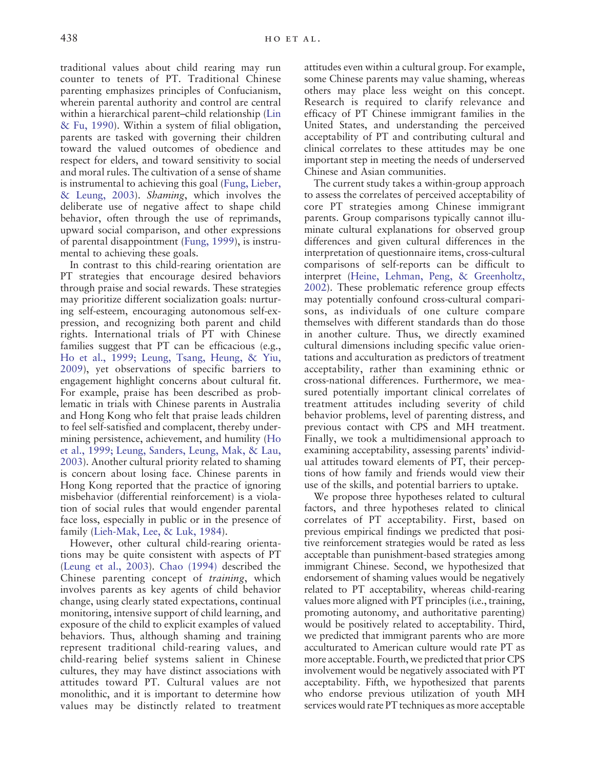traditional values about child rearing may run counter to tenets of PT. Traditional Chinese parenting emphasizes principles of Confucianism, wherein parental authority and control are central within a hierarchical parent–child relationship [\(Lin](#page-13-0) [& Fu, 1990\)](#page-13-0). Within a system of filial obligation, parents are tasked with governing their children toward the valued outcomes of obedience and respect for elders, and toward sensitivity to social and moral rules. The cultivation of a sense of shame is instrumental to achieving this goal [\(Fung, Lieber,](#page-12-0) [& Leung, 2003](#page-12-0)). Shaming, which involves the deliberate use of negative affect to shape child behavior, often through the use of reprimands, upward social comparison, and other expressions of parental disappointment ([Fung, 1999](#page-12-0)), is instrumental to achieving these goals.

In contrast to this child-rearing orientation are PT strategies that encourage desired behaviors through praise and social rewards. These strategies may prioritize different socialization goals: nurturing self-esteem, encouraging autonomous self-expression, and recognizing both parent and child rights. International trials of PT with Chinese families suggest that PT can be efficacious (e.g., [Ho et al., 1999; Leung, Tsang, Heung, & Yiu,](#page-12-0) [2009](#page-12-0)), yet observations of specific barriers to engagement highlight concerns about cultural fit. For example, praise has been described as problematic in trials with Chinese parents in Australia and Hong Kong who felt that praise leads children to feel self-satisfied and complacent, thereby undermining persistence, achievement, and humility ([Ho](#page-12-0) [et al., 1999; Leung, Sanders, Leung, Mak, & Lau,](#page-12-0) [2003](#page-12-0)). Another cultural priority related to shaming is concern about losing face. Chinese parents in Hong Kong reported that the practice of ignoring misbehavior (differential reinforcement) is a violation of social rules that would engender parental face loss, especially in public or in the presence of family ([Lieh-Mak, Lee, & Luk, 1984](#page-13-0)).

However, other cultural child-rearing orientations may be quite consistent with aspects of PT [\(Leung et al., 2003](#page-13-0)). [Chao \(1994\)](#page-12-0) described the Chinese parenting concept of training, which involves parents as key agents of child behavior change, using clearly stated expectations, continual monitoring, intensive support of child learning, and exposure of the child to explicit examples of valued behaviors. Thus, although shaming and training represent traditional child-rearing values, and child-rearing belief systems salient in Chinese cultures, they may have distinct associations with attitudes toward PT. Cultural values are not monolithic, and it is important to determine how values may be distinctly related to treatment

attitudes even within a cultural group. For example, some Chinese parents may value shaming, whereas others may place less weight on this concept. Research is required to clarify relevance and efficacy of PT Chinese immigrant families in the United States, and understanding the perceived acceptability of PT and contributing cultural and clinical correlates to these attitudes may be one important step in meeting the needs of underserved Chinese and Asian communities.

The current study takes a within-group approach to assess the correlates of perceived acceptability of core PT strategies among Chinese immigrant parents. Group comparisons typically cannot illuminate cultural explanations for observed group differences and given cultural differences in the interpretation of questionnaire items, cross-cultural comparisons of self-reports can be difficult to interpret ([Heine, Lehman, Peng, & Greenholtz,](#page-12-0) [2002](#page-12-0)). These problematic reference group effects may potentially confound cross-cultural comparisons, as individuals of one culture compare themselves with different standards than do those in another culture. Thus, we directly examined cultural dimensions including specific value orientations and acculturation as predictors of treatment acceptability, rather than examining ethnic or cross-national differences. Furthermore, we measured potentially important clinical correlates of treatment attitudes including severity of child behavior problems, level of parenting distress, and previous contact with CPS and MH treatment. Finally, we took a multidimensional approach to examining acceptability, assessing parents' individual attitudes toward elements of PT, their perceptions of how family and friends would view their use of the skills, and potential barriers to uptake.

We propose three hypotheses related to cultural factors, and three hypotheses related to clinical correlates of PT acceptability. First, based on previous empirical findings we predicted that positive reinforcement strategies would be rated as less acceptable than punishment-based strategies among immigrant Chinese. Second, we hypothesized that endorsement of shaming values would be negatively related to PT acceptability, whereas child-rearing values more aligned with PT principles (i.e., training, promoting autonomy, and authoritative parenting) would be positively related to acceptability. Third, we predicted that immigrant parents who are more acculturated to American culture would rate PT as more acceptable. Fourth, we predicted that prior CPS involvement would be negatively associated with PT acceptability. Fifth, we hypothesized that parents who endorse previous utilization of youth MH services would rate PT techniques as more acceptable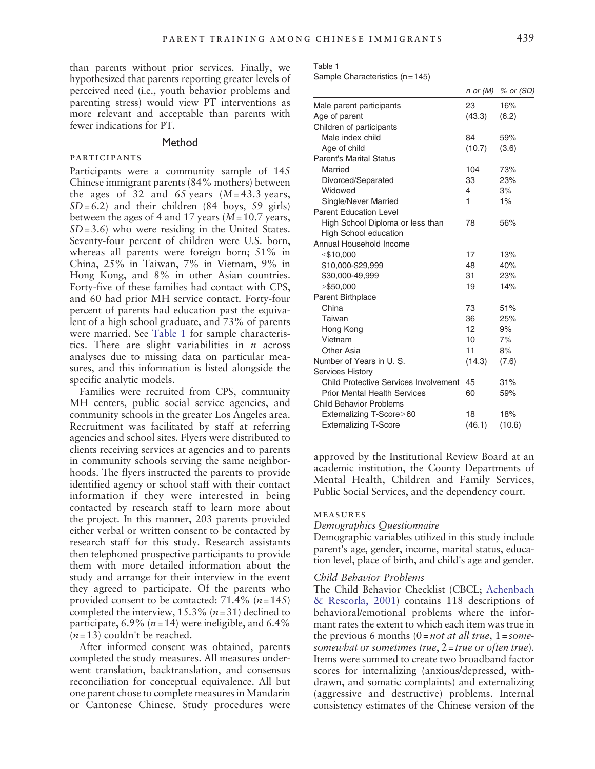than parents without prior services. Finally, we hypothesized that parents reporting greater levels of perceived need (i.e., youth behavior problems and parenting stress) would view PT interventions as more relevant and acceptable than parents with fewer indications for PT.

### Method

## participants

Participants were a community sample of 145 Chinese immigrant parents (84% mothers) between the ages of 32 and 65 years  $(M=43.3 \text{ years})$ ,  $SD = 6.2$ ) and their children (84 boys, 59 girls) between the ages of 4 and 17 years  $(M= 10.7$  years,  $SD = 3.6$ ) who were residing in the United States. Seventy-four percent of children were U.S. born, whereas all parents were foreign born; 51% in China, 25% in Taiwan, 7% in Vietnam, 9% in Hong Kong, and 8% in other Asian countries. Forty-five of these families had contact with CPS, and 60 had prior MH service contact. Forty-four percent of parents had education past the equivalent of a high school graduate, and 73% of parents were married. See Table 1 for sample characteristics. There are slight variabilities in  $n$  across analyses due to missing data on particular measures, and this information is listed alongside the specific analytic models.

Families were recruited from CPS, community MH centers, public social service agencies, and community schools in the greater Los Angeles area. Recruitment was facilitated by staff at referring agencies and school sites. Flyers were distributed to clients receiving services at agencies and to parents in community schools serving the same neighborhoods. The flyers instructed the parents to provide identified agency or school staff with their contact information if they were interested in being contacted by research staff to learn more about the project. In this manner, 203 parents provided either verbal or written consent to be contacted by research staff for this study. Research assistants then telephoned prospective participants to provide them with more detailed information about the study and arrange for their interview in the event they agreed to participate. Of the parents who provided consent to be contacted:  $71.4\%$  ( $n=145$ ) completed the interview,  $15.3\%$  ( $n=31$ ) declined to participate,  $6.9\%$  ( $n=14$ ) were ineligible, and  $6.4\%$  $(n= 13)$  couldn't be reached.

After informed consent was obtained, parents completed the study measures. All measures underwent translation, backtranslation, and consensus reconciliation for conceptual equivalence. All but one parent chose to complete measures in Mandarin or Cantonese Chinese. Study procedures were

| Table 1                          |  |
|----------------------------------|--|
| Sample Characteristics $(n=145)$ |  |

|                                              | $n$ or $(M)$ | % or (SD) |
|----------------------------------------------|--------------|-----------|
| Male parent participants                     | 23           | 16%       |
| Age of parent                                | (43.3)       | (6.2)     |
| Children of participants                     |              |           |
| Male index child                             | 84           | 59%       |
| Age of child                                 | (10.7)       | (3.6)     |
| <b>Parent's Marital Status</b>               |              |           |
| Married                                      | 104          | 73%       |
| Divorced/Separated                           | 33           | 23%       |
| Widowed                                      | 4            | 3%        |
| Single/Never Married                         | 1            | 1%        |
| <b>Parent Education Level</b>                |              |           |
| High School Diploma or less than             | 78           | 56%       |
| High School education                        |              |           |
| Annual Household Income                      |              |           |
| $<$ \$10,000                                 | 17           | 13%       |
| \$10,000-\$29,999                            | 48           | 40%       |
| \$30,000-49,999                              | 31           | 23%       |
| $>$ \$50,000                                 | 19           | 14%       |
| <b>Parent Birthplace</b>                     |              |           |
| China                                        | 73           | 51%       |
| Taiwan                                       | 36           | 25%       |
| Hong Kong                                    | 12           | 9%        |
| Vietnam                                      | 10           | 7%        |
| <b>Other Asia</b>                            | 11           | 8%        |
| Number of Years in U.S.                      | (14.3)       | (7.6)     |
| <b>Services History</b>                      |              |           |
| <b>Child Protective Services Involvement</b> | 45           | 31%       |
| <b>Prior Mental Health Services</b>          | 60           | 59%       |
| <b>Child Behavior Problems</b>               |              |           |
| Externalizing T-Score>60                     | 18           | 18%       |
| <b>Externalizing T-Score</b>                 | (46.1)       | (10.6)    |

approved by the Institutional Review Board at an academic institution, the County Departments of Mental Health, Children and Family Services, Public Social Services, and the dependency court.

#### **MEASURES**

#### Demographics Questionnaire

Demographic variables utilized in this study include parent's age, gender, income, marital status, education level, place of birth, and child's age and gender.

### Child Behavior Problems

The Child Behavior Checklist (CBCL; [Achenbach](#page-12-0) [& Rescorla, 2001\)](#page-12-0) contains 118 descriptions of behavioral/emotional problems where the informant rates the extent to which each item was true in the previous 6 months  $(0 = not at all true, 1 = some$ somewhat or sometimes true,  $2$  = true or often true). Items were summed to create two broadband factor scores for internalizing (anxious/depressed, withdrawn, and somatic complaints) and externalizing (aggressive and destructive) problems. Internal consistency estimates of the Chinese version of the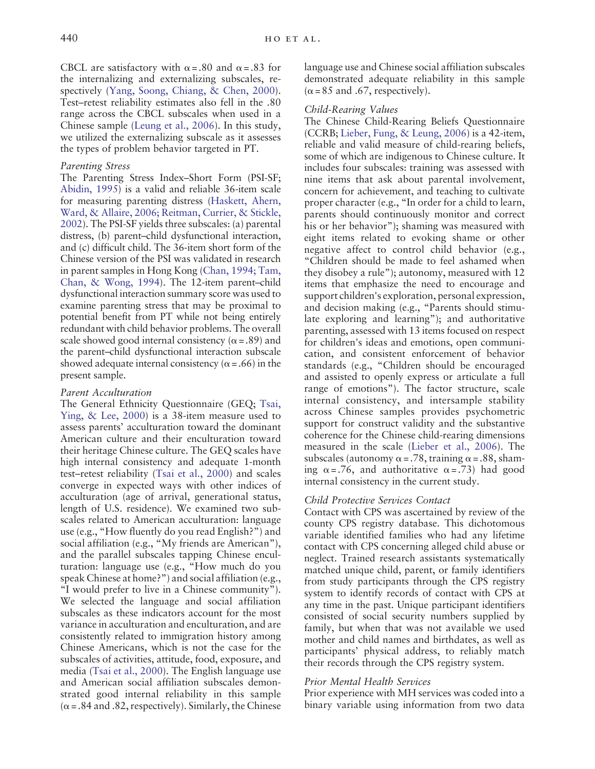CBCL are satisfactory with  $\alpha$  = .80 and  $\alpha$  = .83 for the internalizing and externalizing subscales, respectively [\(Yang, Soong, Chiang, & Chen, 2000\)](#page-13-0). Test–retest reliability estimates also fell in the .80 range across the CBCL subscales when used in a Chinese sample [\(Leung et al., 2006\)](#page-13-0). In this study, we utilized the externalizing subscale as it assesses the types of problem behavior targeted in PT.

#### Parenting Stress

The Parenting Stress Index–Short Form (PSI-SF; [Abidin, 1995](#page-12-0)) is a valid and reliable 36-item scale for measuring parenting distress [\(Haskett, Ahern,](#page-12-0) [Ward, & Allaire, 2006; Reitman, Currier, & Stickle,](#page-12-0) [2002\)](#page-12-0). The PSI-SF yields three subscales: (a) parental distress, (b) parent–child dysfunctional interaction, and (c) difficult child. The 36-item short form of the Chinese version of the PSI was validated in research in parent samples in Hong Kong ([Chan, 1994; Tam,](#page-12-0) [Chan, & Wong, 1994](#page-12-0)). The 12-item parent–child dysfunctional interaction summary score was used to examine parenting stress that may be proximal to potential benefit from PT while not being entirely redundant with child behavior problems. The overall scale showed good internal consistency ( $\alpha$  = .89) and the parent–child dysfunctional interaction subscale showed adequate internal consistency ( $\alpha$  = .66) in the present sample.

## Parent Acculturation

The General Ethnicity Questionnaire (GEQ; [Tsai,](#page-13-0) [Ying, & Lee, 2000](#page-13-0)) is a 38-item measure used to assess parents' acculturation toward the dominant American culture and their enculturation toward their heritage Chinese culture. The GEQ scales have high internal consistency and adequate 1-month test–retest reliability [\(Tsai et al., 2000\)](#page-13-0) and scales converge in expected ways with other indices of acculturation (age of arrival, generational status, length of U.S. residence). We examined two subscales related to American acculturation: language use (e.g., "How fluently do you read English?") and social affiliation (e.g., "My friends are American"), and the parallel subscales tapping Chinese enculturation: language use (e.g., "How much do you speak Chinese at home?") and social affiliation (e.g., "I would prefer to live in a Chinese community"). We selected the language and social affiliation subscales as these indicators account for the most variance in acculturation and enculturation, and are consistently related to immigration history among Chinese Americans, which is not the case for the subscales of activities, attitude, food, exposure, and media [\(Tsai et al., 2000](#page-13-0)). The English language use and American social affiliation subscales demonstrated good internal reliability in this sample  $(\alpha = .84$  and .82, respectively). Similarly, the Chinese

language use and Chinese social affiliation subscales demonstrated adequate reliability in this sample  $(\alpha = 85 \text{ and } .67, \text{ respectively}).$ 

## Child-Rearing Values

The Chinese Child-Rearing Beliefs Questionnaire (CCRB; [Lieber, Fung, & Leung, 2006](#page-13-0)) is a 42-item, reliable and valid measure of child-rearing beliefs, some of which are indigenous to Chinese culture. It includes four subscales: training was assessed with nine items that ask about parental involvement, concern for achievement, and teaching to cultivate proper character (e.g., "In order for a child to learn, parents should continuously monitor and correct his or her behavior"); shaming was measured with eight items related to evoking shame or other negative affect to control child behavior (e.g., "Children should be made to feel ashamed when they disobey a rule"); autonomy, measured with 12 items that emphasize the need to encourage and support children's exploration, personal expression, and decision making (e.g., "Parents should stimulate exploring and learning"); and authoritative parenting, assessed with 13 items focused on respect for children's ideas and emotions, open communication, and consistent enforcement of behavior standards (e.g., "Children should be encouraged and assisted to openly express or articulate a full range of emotions"). The factor structure, scale internal consistency, and intersample stability across Chinese samples provides psychometric support for construct validity and the substantive coherence for the Chinese child-rearing dimensions measured in the scale [\(Lieber et al., 2006\)](#page-13-0). The subscales (autonomy  $\alpha = .78$ , training  $\alpha = .88$ , shaming  $\alpha = .76$ , and authoritative  $\alpha = .73$ ) had good internal consistency in the current study.

## Child Protective Services Contact

Contact with CPS was ascertained by review of the county CPS registry database. This dichotomous variable identified families who had any lifetime contact with CPS concerning alleged child abuse or neglect. Trained research assistants systematically matched unique child, parent, or family identifiers from study participants through the CPS registry system to identify records of contact with CPS at any time in the past. Unique participant identifiers consisted of social security numbers supplied by family, but when that was not available we used mother and child names and birthdates, as well as participants' physical address, to reliably match their records through the CPS registry system.

## Prior Mental Health Services

Prior experience with MH services was coded into a binary variable using information from two data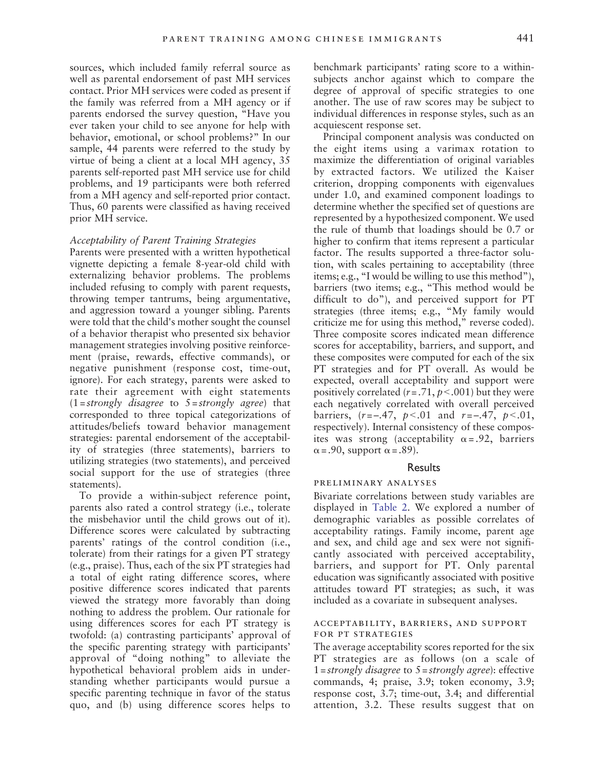sources, which included family referral source as well as parental endorsement of past MH services contact. Prior MH services were coded as present if the family was referred from a MH agency or if parents endorsed the survey question, "Have you ever taken your child to see anyone for help with behavior, emotional, or school problems?" In our sample, 44 parents were referred to the study by virtue of being a client at a local MH agency, 35 parents self-reported past MH service use for child problems, and 19 participants were both referred from a MH agency and self-reported prior contact. Thus, 60 parents were classified as having received prior MH service.

#### Acceptability of Parent Training Strategies

Parents were presented with a written hypothetical vignette depicting a female 8-year-old child with externalizing behavior problems. The problems included refusing to comply with parent requests, throwing temper tantrums, being argumentative, and aggression toward a younger sibling. Parents were told that the child's mother sought the counsel of a behavior therapist who presented six behavior management strategies involving positive reinforcement (praise, rewards, effective commands), or negative punishment (response cost, time-out, ignore). For each strategy, parents were asked to rate their agreement with eight statements  $(1 = strongly \, disagree \, to \, 5 = strongly \, agree)$  that corresponded to three topical categorizations of attitudes/beliefs toward behavior management strategies: parental endorsement of the acceptability of strategies (three statements), barriers to utilizing strategies (two statements), and perceived social support for the use of strategies (three statements).

To provide a within-subject reference point, parents also rated a control strategy (i.e., tolerate the misbehavior until the child grows out of it). Difference scores were calculated by subtracting parents' ratings of the control condition (i.e., tolerate) from their ratings for a given PT strategy (e.g., praise). Thus, each of the six PT strategies had a total of eight rating difference scores, where positive difference scores indicated that parents viewed the strategy more favorably than doing nothing to address the problem. Our rationale for using differences scores for each PT strategy is twofold: (a) contrasting participants' approval of the specific parenting strategy with participants' approval of "doing nothing" to alleviate the hypothetical behavioral problem aids in understanding whether participants would pursue a specific parenting technique in favor of the status quo, and (b) using difference scores helps to benchmark participants' rating score to a withinsubjects anchor against which to compare the degree of approval of specific strategies to one another. The use of raw scores may be subject to individual differences in response styles, such as an acquiescent response set.

Principal component analysis was conducted on the eight items using a varimax rotation to maximize the differentiation of original variables by extracted factors. We utilized the Kaiser criterion, dropping components with eigenvalues under 1.0, and examined component loadings to determine whether the specified set of questions are represented by a hypothesized component. We used the rule of thumb that loadings should be 0.7 or higher to confirm that items represent a particular factor. The results supported a three-factor solution, with scales pertaining to acceptability (three items; e.g., "I would be willing to use this method"), barriers (two items; e.g., "This method would be difficult to do"), and perceived support for PT strategies (three items; e.g., "My family would criticize me for using this method," reverse coded). Three composite scores indicated mean difference scores for acceptability, barriers, and support, and these composites were computed for each of the six PT strategies and for PT overall. As would be expected, overall acceptability and support were positively correlated ( $r = .71$ ,  $p < .001$ ) but they were each negatively correlated with overall perceived barriers,  $(r=-.47, p<.01$  and  $r=-.47, p<.01$ , respectively). Internal consistency of these composites was strong (acceptability  $\alpha = .92$ , barriers  $\alpha = .90$ , support  $\alpha = .89$ ).

#### Results

#### preliminary analyses

Bivariate correlations between study variables are displayed in [Table 2](#page-6-0). We explored a number of demographic variables as possible correlates of acceptability ratings. Family income, parent age and sex, and child age and sex were not significantly associated with perceived acceptability, barriers, and support for PT. Only parental education was significantly associated with positive attitudes toward PT strategies; as such, it was included as a covariate in subsequent analyses.

#### acceptability, barriers, and support for pt strategies

The average acceptability scores reported for the six PT strategies are as follows (on a scale of 1=strongly disagree to  $5$ =strongly agree): effective commands, 4; praise, 3.9; token economy, 3.9; response cost, 3.7; time-out, 3.4; and differential attention, 3.2. These results suggest that on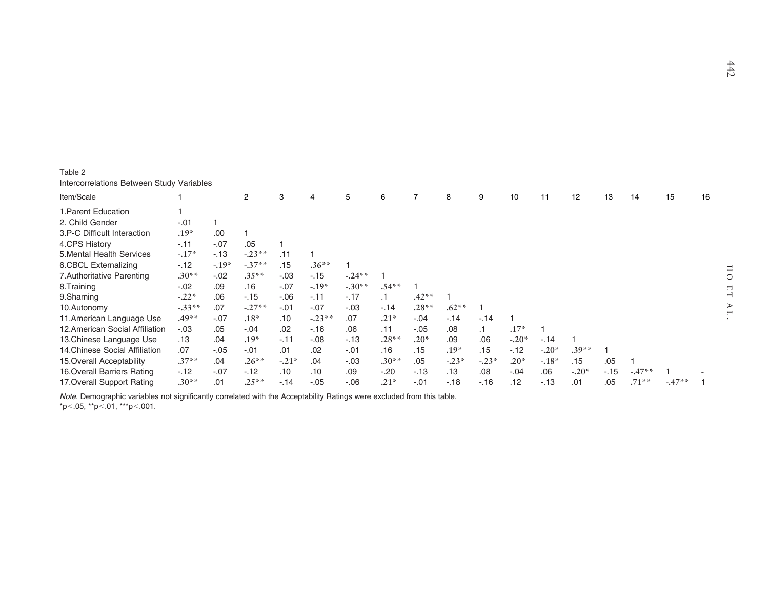<span id="page-6-0"></span>

| Table 2                                   |  |  |
|-------------------------------------------|--|--|
| Intercorrelations Between Study Variables |  |  |

| 12<br>13         | 14      | 15      | 16 |
|------------------|---------|---------|----|
|                  |         |         |    |
|                  |         |         |    |
|                  |         |         |    |
|                  |         |         |    |
|                  |         |         |    |
|                  |         |         |    |
|                  |         |         |    |
|                  |         |         |    |
|                  |         |         |    |
|                  |         |         |    |
|                  |         |         |    |
|                  |         |         |    |
|                  |         |         |    |
| $.39**$          |         |         |    |
| .05<br>.15       |         |         |    |
| $-.20*$<br>$-15$ | $-47**$ |         |    |
| .05<br>.01       | $.71**$ | $-47**$ |    |
|                  |         |         |    |

Note. Demographic variables not significantly correlated with the Acceptability Ratings were excluded from this table. \*pb.05, \*\*pb.01, \*\*\*pb.001.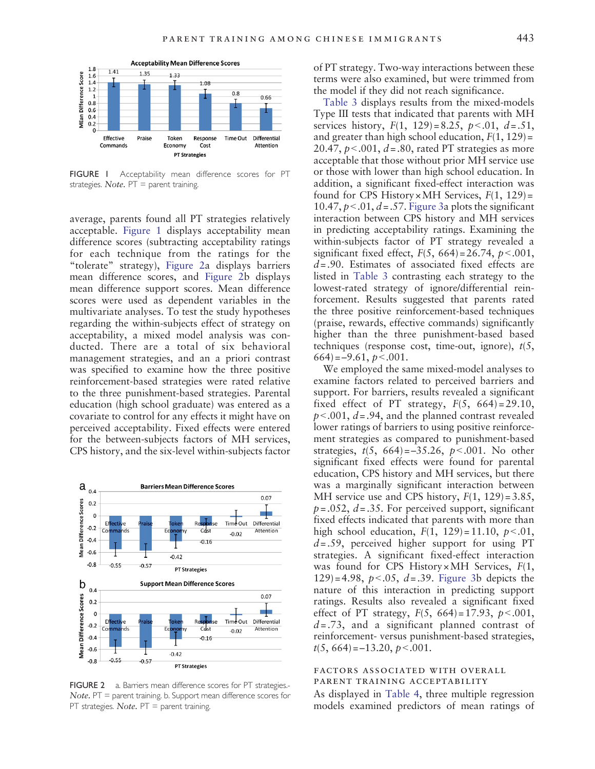

FIGURE I Acceptability mean difference scores for PT strategies. Note.  $PT =$  parent training.

average, parents found all PT strategies relatively acceptable. Figure 1 displays acceptability mean difference scores (subtracting acceptability ratings for each technique from the ratings for the "tolerate" strategy), Figure 2a displays barriers mean difference scores, and Figure 2b displays mean difference support scores. Mean difference scores were used as dependent variables in the multivariate analyses. To test the study hypotheses regarding the within-subjects effect of strategy on acceptability, a mixed model analysis was conducted. There are a total of six behavioral management strategies, and an a priori contrast was specified to examine how the three positive reinforcement-based strategies were rated relative to the three punishment-based strategies. Parental education (high school graduate) was entered as a covariate to control for any effects it might have on perceived acceptability. Fixed effects were entered for the between-subjects factors of MH services, CPS history, and the six-level within-subjects factor



FIGURE 2 a. Barriers mean difference scores for PT strategies. Note. PT = parent training. b. Support mean difference scores for PT strategies. Note.  $PT =$  parent training.

of PT strategy. Two-way interactions between these terms were also examined, but were trimmed from the model if they did not reach significance.

[Table 3](#page-8-0) displays results from the mixed-models Type III tests that indicated that parents with MH services history,  $F(1, 129) = 8.25$ ,  $p < .01$ ,  $d = .51$ , and greater than high school education,  $F(1, 129) =$ 20.47,  $p < .001$ ,  $d = .80$ , rated PT strategies as more acceptable that those without prior MH service use or those with lower than high school education. In addition, a significant fixed-effect interaction was found for CPS History  $\times$  MH Services,  $F(1, 129) =$ 10.47,  $p < 0.01$ ,  $d = .57$ . [Figure 3a](#page-8-0) plots the significant interaction between CPS history and MH services in predicting acceptability ratings. Examining the within-subjects factor of PT strategy revealed a significant fixed effect,  $F(5, 664) = 26.74$ ,  $p < .001$ ,  $d = .90$ . Estimates of associated fixed effects are listed in [Table 3](#page-8-0) contrasting each strategy to the lowest-rated strategy of ignore/differential reinforcement. Results suggested that parents rated the three positive reinforcement-based techniques (praise, rewards, effective commands) significantly higher than the three punishment-based based techniques (response cost, time-out, ignore),  $t(5, 1)$  $(664) = -9.61, p < .001.$ 

We employed the same mixed-model analyses to examine factors related to perceived barriers and support. For barriers, results revealed a significant fixed effect of PT strategy,  $F(5, 664) = 29.10$ ,  $p<.001$ ,  $d=.94$ , and the planned contrast revealed lower ratings of barriers to using positive reinforcement strategies as compared to punishment-based strategies,  $t(5, 664) = -35.26$ ,  $p < .001$ . No other significant fixed effects were found for parental education, CPS history and MH services, but there was a marginally significant interaction between MH service use and CPS history,  $F(1, 129) = 3.85$ ,  $p = .052$ ,  $d = .35$ . For perceived support, significant fixed effects indicated that parents with more than high school education,  $F(1, 129) = 11.10, p < 0.01$ ,  $d = .59$ , perceived higher support for using PT strategies. A significant fixed-effect interaction was found for CPS History  $\times$  MH Services,  $F(1,$ 129)=4.98,  $p<0.05$ , d=.39. [Figure 3](#page-8-0)b depicts the nature of this interaction in predicting support ratings. Results also revealed a significant fixed effect of PT strategy,  $F(5, 664) = 17.93$ ,  $p < .001$ ,  $d = .73$ , and a significant planned contrast of reinforcement- versus punishment-based strategies,  $t(5, 664) = -13.20, p < .001.$ 

## factors associated with overall parent training acceptability

As displayed in [Table 4,](#page-8-0) three multiple regression models examined predictors of mean ratings of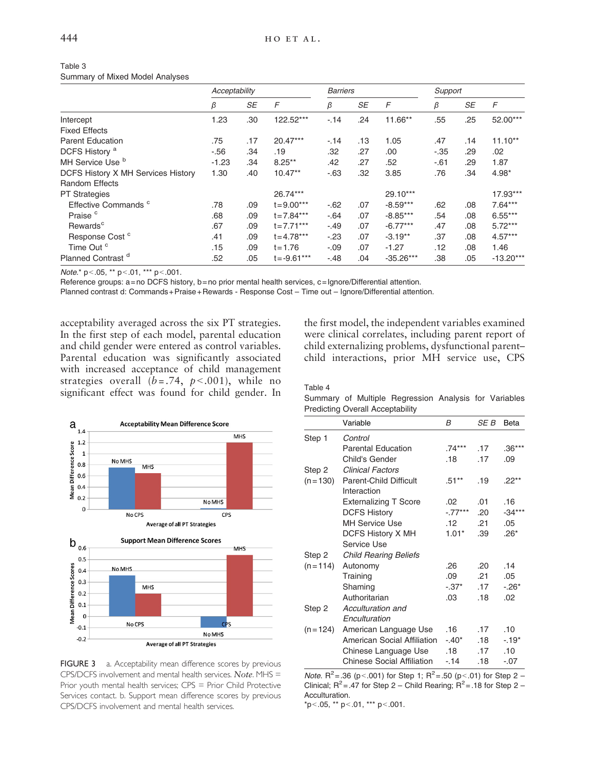|                                    | Acceptability |     | <b>Barriers</b> |        |     | Support     |        |     |             |
|------------------------------------|---------------|-----|-----------------|--------|-----|-------------|--------|-----|-------------|
|                                    | β             | SE  | $\sqrt{2}$      | β      | SE  | $\digamma$  | β      | SE  | $\sqrt{2}$  |
| Intercept                          | 1.23          | .30 | 122.52***       | $-.14$ | .24 | 11.66**     | .55    | .25 | 52.00***    |
| <b>Fixed Effects</b>               |               |     |                 |        |     |             |        |     |             |
| <b>Parent Education</b>            | .75           | .17 | $20.47***$      | $-14$  | .13 | 1.05        | .47    | .14 | $11.10**$   |
| DCFS History <sup>a</sup>          | $-56$         | .34 | .19             | .32    | .27 | .00         | $-.35$ | .29 | .02         |
| MH Service Use b                   | $-1.23$       | .34 | $8.25***$       | .42    | .27 | .52         | $-61$  | .29 | 1.87        |
| DCFS History X MH Services History | 1.30          | .40 | $10.47**$       | $-63$  | .32 | 3.85        | .76    | .34 | 4.98*       |
| <b>Random Effects</b>              |               |     |                 |        |     |             |        |     |             |
| PT Strategies                      |               |     | 26.74***        |        |     | 29.10***    |        |     | 17.93***    |
| Effective Commands <sup>c</sup>    | .78           | .09 | $t = 9.00***$   | $-62$  | .07 | $-8.59***$  | .62    | .08 | $7.64***$   |
| Praise <sup>c</sup>                | .68           | .09 | $t = 7.84***$   | $-64$  | .07 | $-8.85***$  | .54    | .08 | $6.55***$   |
| Rewards <sup>c</sup>               | .67           | .09 | $t = 7.71***$   | $-.49$ | .07 | $-6.77***$  | .47    | .08 | $5.72***$   |
| Response Cost <sup>c</sup>         | .41           | .09 | $t = 4.78***$   | $-.23$ | .07 | $-3.19**$   | .37    | .08 | $4.57***$   |
| Time Out <sup>c</sup>              | .15           | .09 | $t = 1.76$      | $-.09$ | .07 | $-1.27$     | .12    | .08 | 1.46        |
| Planned Contrast <sup>d</sup>      | .52           | .05 | $t = -9.61***$  | $-.48$ | .04 | $-35.26***$ | .38    | .05 | $-13.20***$ |

<span id="page-8-0"></span>Table 3 Summary of Mixed Model Analyses

Note.\*  $p<.05$ , \*\*  $p<.01$ , \*\*\*  $p<.001$ .

Reference groups: a=no DCFS history, b=no prior mental health services, c=Ignore/Differential attention.

Planned contrast d: Commands+Praise+ Rewards - Response Cost – Time out – Ignore/Differential attention.

acceptability averaged across the six PT strategies. In the first step of each model, parental education and child gender were entered as control variables. Parental education was significantly associated with increased acceptance of child management strategies overall  $(b=.74, p<.001)$ , while no significant effect was found for child gender. In



FIGURE 3 a. Acceptability mean difference scores by previous CPS/DCFS involvement and mental health services. Note. MHS = Prior youth mental health services; CPS = Prior Child Protective Services contact. b. Support mean difference scores by previous CPS/DCFS involvement and mental health services.

the first model, the independent variables examined were clinical correlates, including parent report of child externalizing problems, dysfunctional parent– child interactions, prior MH service use, CPS

#### Table 4

Summary of Multiple Regression Analysis for Variables Predicting Overall Acceptability

|           | Variable                      | B         | SE B | Beta     |
|-----------|-------------------------------|-----------|------|----------|
| Step 1    | Control                       |           |      |          |
|           | <b>Parental Education</b>     | $.74***$  | .17  | $.36***$ |
|           | Child's Gender                | .18       | .17  | .09      |
| Step 2    | <b>Clinical Factors</b>       |           |      |          |
| $(n=130)$ | <b>Parent-Child Difficult</b> | $.51***$  | .19  | $.22***$ |
|           | Interaction                   |           |      |          |
|           | <b>Externalizing T Score</b>  | $.02\,$   | .01  | .16      |
|           | <b>DCFS History</b>           | $-.77***$ | .20  | $-34***$ |
|           | <b>MH Service Use</b>         | .12       | .21  | .05      |
|           | DCFS History X MH             | $1.01*$   | .39  | $.26*$   |
|           | Service Use                   |           |      |          |
| Step 2    | <b>Child Rearing Beliefs</b>  |           |      |          |
| $(n=114)$ | Autonomy                      | .26       | .20  | .14      |
|           | Training                      | .09       | .21  | .05      |
|           | Shaming                       | $-.37*$   | .17  | $-26*$   |
|           | Authoritarian                 | .03       | .18  | .02      |
| Step 2    | Acculturation and             |           |      |          |
|           | Enculturation                 |           |      |          |
| $(n=124)$ | American Language Use         | .16       | .17  | .10      |
|           | American Social Affiliation   | $-.40*$   | .18  | $-19*$   |
|           | Chinese Language Use          | .18       | .17  | .10      |
|           | Chinese Social Affiliation    | $-14$     | .18  | $-.07$   |

*Note.*  $R^2$  = .36 (p < .001) for Step 1;  $R^2$  = .50 (p < .01) for Step 2 – Clinical;  $R^2 = .47$  for Step 2 – Child Rearing;  $R^2 = .18$  for Step 2 – Acculturation.

\*p<.05, \*\* p <.01, \*\*\* p <.001.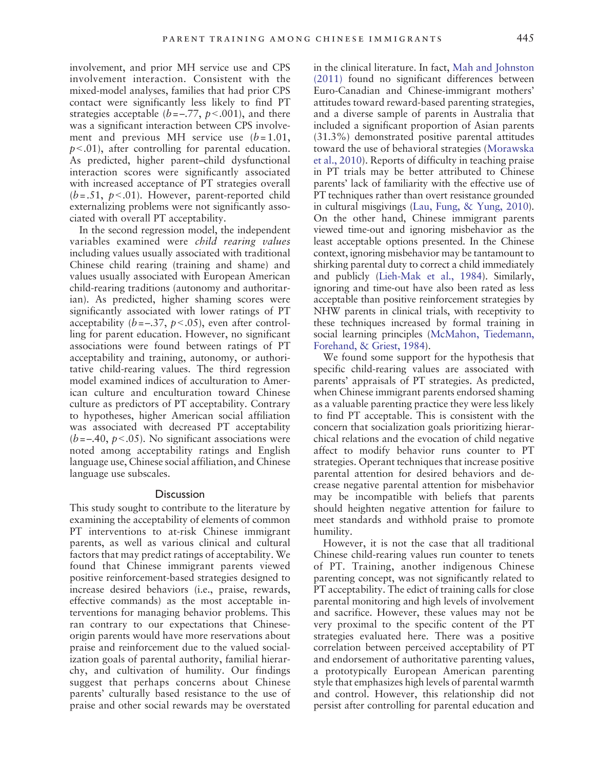involvement, and prior MH service use and CPS involvement interaction. Consistent with the mixed-model analyses, families that had prior CPS contact were significantly less likely to find PT strategies acceptable ( $b = -0.77$ ,  $p < 0.001$ ), and there was a significant interaction between CPS involvement and previous MH service use  $(b=1.01,$  $p<0.01$ ), after controlling for parental education. As predicted, higher parent–child dysfunctional interaction scores were significantly associated with increased acceptance of PT strategies overall  $(b=.51, p<.01)$ . However, parent-reported child externalizing problems were not significantly associated with overall PT acceptability.

In the second regression model, the independent variables examined were child rearing values including values usually associated with traditional Chinese child rearing (training and shame) and values usually associated with European American child-rearing traditions (autonomy and authoritarian). As predicted, higher shaming scores were significantly associated with lower ratings of PT acceptability ( $b = -0.37$ ,  $p < 0.05$ ), even after controlling for parent education. However, no significant associations were found between ratings of PT acceptability and training, autonomy, or authoritative child-rearing values. The third regression model examined indices of acculturation to American culture and enculturation toward Chinese culture as predictors of PT acceptability. Contrary to hypotheses, higher American social affiliation was associated with decreased PT acceptability  $(b=-.40, p<.05)$ . No significant associations were noted among acceptability ratings and English language use, Chinese social affiliation, and Chinese language use subscales.

#### **Discussion**

This study sought to contribute to the literature by examining the acceptability of elements of common PT interventions to at-risk Chinese immigrant parents, as well as various clinical and cultural factors that may predict ratings of acceptability. We found that Chinese immigrant parents viewed positive reinforcement-based strategies designed to increase desired behaviors (i.e., praise, rewards, effective commands) as the most acceptable interventions for managing behavior problems. This ran contrary to our expectations that Chineseorigin parents would have more reservations about praise and reinforcement due to the valued socialization goals of parental authority, familial hierarchy, and cultivation of humility. Our findings suggest that perhaps concerns about Chinese parents' culturally based resistance to the use of praise and other social rewards may be overstated

in the clinical literature. In fact, [Mah and Johnston](#page-13-0) [\(2011\)](#page-13-0) found no significant differences between Euro-Canadian and Chinese-immigrant mothers' attitudes toward reward-based parenting strategies, and a diverse sample of parents in Australia that included a significant proportion of Asian parents (31.3%) demonstrated positive parental attitudes toward the use of behavioral strategies [\(Morawska](#page-13-0) [et al., 2010](#page-13-0)). Reports of difficulty in teaching praise in PT trials may be better attributed to Chinese parents' lack of familiarity with the effective use of PT techniques rather than overt resistance grounded in cultural misgivings [\(Lau, Fung, & Yung, 2010\)](#page-13-0). On the other hand, Chinese immigrant parents viewed time-out and ignoring misbehavior as the least acceptable options presented. In the Chinese context, ignoring misbehavior may be tantamount to shirking parental duty to correct a child immediately and publicly [\(Lieh-Mak et al., 1984](#page-13-0)). Similarly, ignoring and time-out have also been rated as less acceptable than positive reinforcement strategies by NHW parents in clinical trials, with receptivity to these techniques increased by formal training in social learning principles [\(McMahon, Tiedemann,](#page-13-0) [Forehand, & Griest, 1984](#page-13-0)).

We found some support for the hypothesis that specific child-rearing values are associated with parents' appraisals of PT strategies. As predicted, when Chinese immigrant parents endorsed shaming as a valuable parenting practice they were less likely to find PT acceptable. This is consistent with the concern that socialization goals prioritizing hierarchical relations and the evocation of child negative affect to modify behavior runs counter to PT strategies. Operant techniques that increase positive parental attention for desired behaviors and decrease negative parental attention for misbehavior may be incompatible with beliefs that parents should heighten negative attention for failure to meet standards and withhold praise to promote humility.

However, it is not the case that all traditional Chinese child-rearing values run counter to tenets of PT. Training, another indigenous Chinese parenting concept, was not significantly related to PT acceptability. The edict of training calls for close parental monitoring and high levels of involvement and sacrifice. However, these values may not be very proximal to the specific content of the PT strategies evaluated here. There was a positive correlation between perceived acceptability of PT and endorsement of authoritative parenting values, a prototypically European American parenting style that emphasizes high levels of parental warmth and control. However, this relationship did not persist after controlling for parental education and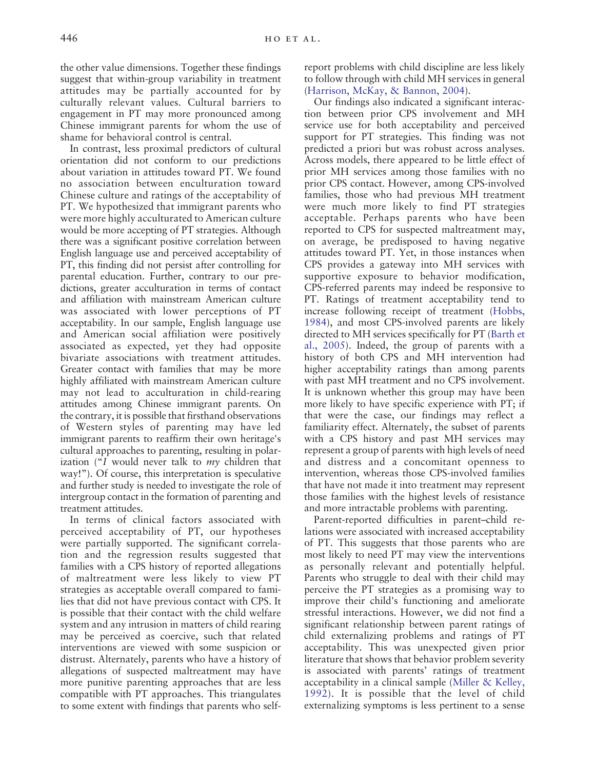the other value dimensions. Together these findings suggest that within-group variability in treatment attitudes may be partially accounted for by culturally relevant values. Cultural barriers to engagement in PT may more pronounced among Chinese immigrant parents for whom the use of shame for behavioral control is central.

In contrast, less proximal predictors of cultural orientation did not conform to our predictions about variation in attitudes toward PT. We found no association between enculturation toward Chinese culture and ratings of the acceptability of PT. We hypothesized that immigrant parents who were more highly acculturated to American culture would be more accepting of PT strategies. Although there was a significant positive correlation between English language use and perceived acceptability of PT, this finding did not persist after controlling for parental education. Further, contrary to our predictions, greater acculturation in terms of contact and affiliation with mainstream American culture was associated with lower perceptions of PT acceptability. In our sample, English language use and American social affiliation were positively associated as expected, yet they had opposite bivariate associations with treatment attitudes. Greater contact with families that may be more highly affiliated with mainstream American culture may not lead to acculturation in child-rearing attitudes among Chinese immigrant parents. On the contrary, it is possible that firsthand observations of Western styles of parenting may have led immigrant parents to reaffirm their own heritage's cultural approaches to parenting, resulting in polarization ("I would never talk to  $my$  children that way!"). Of course, this interpretation is speculative and further study is needed to investigate the role of intergroup contact in the formation of parenting and treatment attitudes.

In terms of clinical factors associated with perceived acceptability of PT, our hypotheses were partially supported. The significant correlation and the regression results suggested that families with a CPS history of reported allegations of maltreatment were less likely to view PT strategies as acceptable overall compared to families that did not have previous contact with CPS. It is possible that their contact with the child welfare system and any intrusion in matters of child rearing may be perceived as coercive, such that related interventions are viewed with some suspicion or distrust. Alternately, parents who have a history of allegations of suspected maltreatment may have more punitive parenting approaches that are less compatible with PT approaches. This triangulates to some extent with findings that parents who selfreport problems with child discipline are less likely to follow through with child MH services in general ([Harrison, McKay, & Bannon, 2004](#page-12-0)).

Our findings also indicated a significant interaction between prior CPS involvement and MH service use for both acceptability and perceived support for PT strategies. This finding was not predicted a priori but was robust across analyses. Across models, there appeared to be little effect of prior MH services among those families with no prior CPS contact. However, among CPS-involved families, those who had previous MH treatment were much more likely to find PT strategies acceptable. Perhaps parents who have been reported to CPS for suspected maltreatment may, on average, be predisposed to having negative attitudes toward PT. Yet, in those instances when CPS provides a gateway into MH services with supportive exposure to behavior modification, CPS-referred parents may indeed be responsive to PT. Ratings of treatment acceptability tend to increase following receipt of treatment [\(Hobbs,](#page-12-0) [1984](#page-12-0)), and most CPS-involved parents are likely directed to MH services specifically for PT [\(Barth et](#page-12-0) [al., 2005](#page-12-0)). Indeed, the group of parents with a history of both CPS and MH intervention had higher acceptability ratings than among parents with past MH treatment and no CPS involvement. It is unknown whether this group may have been more likely to have specific experience with PT; if that were the case, our findings may reflect a familiarity effect. Alternately, the subset of parents with a CPS history and past MH services may represent a group of parents with high levels of need and distress and a concomitant openness to intervention, whereas those CPS-involved families that have not made it into treatment may represent those families with the highest levels of resistance and more intractable problems with parenting.

Parent-reported difficulties in parent–child relations were associated with increased acceptability of PT. This suggests that those parents who are most likely to need PT may view the interventions as personally relevant and potentially helpful. Parents who struggle to deal with their child may perceive the PT strategies as a promising way to improve their child's functioning and ameliorate stressful interactions. However, we did not find a significant relationship between parent ratings of child externalizing problems and ratings of PT acceptability. This was unexpected given prior literature that shows that behavior problem severity is associated with parents' ratings of treatment acceptability in a clinical sample ([Miller & Kelley,](#page-13-0) [1992](#page-13-0)). It is possible that the level of child externalizing symptoms is less pertinent to a sense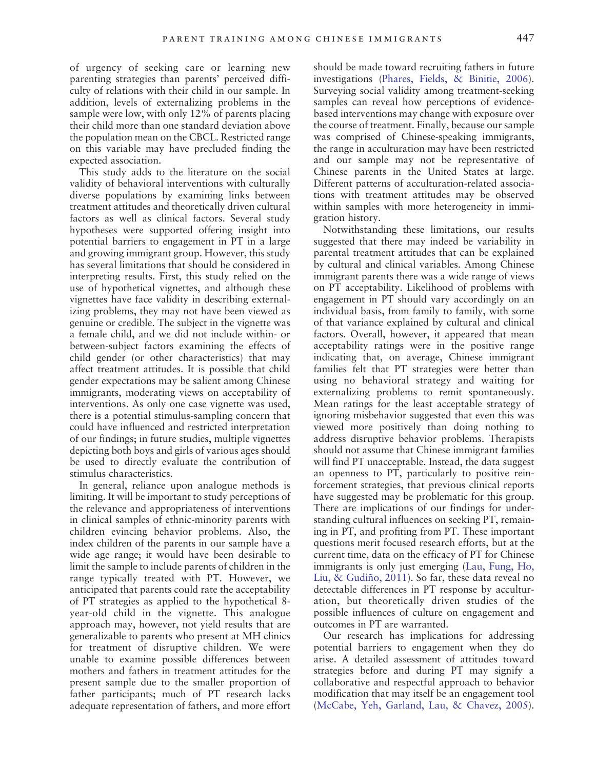of urgency of seeking care or learning new parenting strategies than parents' perceived difficulty of relations with their child in our sample. In addition, levels of externalizing problems in the sample were low, with only 12% of parents placing their child more than one standard deviation above the population mean on the CBCL. Restricted range on this variable may have precluded finding the expected association.

This study adds to the literature on the social validity of behavioral interventions with culturally diverse populations by examining links between treatment attitudes and theoretically driven cultural factors as well as clinical factors. Several study hypotheses were supported offering insight into potential barriers to engagement in PT in a large and growing immigrant group. However, this study has several limitations that should be considered in interpreting results. First, this study relied on the use of hypothetical vignettes, and although these vignettes have face validity in describing externalizing problems, they may not have been viewed as genuine or credible. The subject in the vignette was a female child, and we did not include within- or between-subject factors examining the effects of child gender (or other characteristics) that may affect treatment attitudes. It is possible that child gender expectations may be salient among Chinese immigrants, moderating views on acceptability of interventions. As only one case vignette was used, there is a potential stimulus-sampling concern that could have influenced and restricted interpretation of our findings; in future studies, multiple vignettes depicting both boys and girls of various ages should be used to directly evaluate the contribution of stimulus characteristics.

In general, reliance upon analogue methods is limiting. It will be important to study perceptions of the relevance and appropriateness of interventions in clinical samples of ethnic-minority parents with children evincing behavior problems. Also, the index children of the parents in our sample have a wide age range; it would have been desirable to limit the sample to include parents of children in the range typically treated with PT. However, we anticipated that parents could rate the acceptability of PT strategies as applied to the hypothetical 8 year-old child in the vignette. This analogue approach may, however, not yield results that are generalizable to parents who present at MH clinics for treatment of disruptive children. We were unable to examine possible differences between mothers and fathers in treatment attitudes for the present sample due to the smaller proportion of father participants; much of PT research lacks adequate representation of fathers, and more effort should be made toward recruiting fathers in future investigations [\(Phares, Fields, & Binitie, 2006\)](#page-13-0). Surveying social validity among treatment-seeking samples can reveal how perceptions of evidencebased interventions may change with exposure over the course of treatment. Finally, because our sample was comprised of Chinese-speaking immigrants, the range in acculturation may have been restricted and our sample may not be representative of Chinese parents in the United States at large. Different patterns of acculturation-related associations with treatment attitudes may be observed within samples with more heterogeneity in immigration history.

Notwithstanding these limitations, our results suggested that there may indeed be variability in parental treatment attitudes that can be explained by cultural and clinical variables. Among Chinese immigrant parents there was a wide range of views on PT acceptability. Likelihood of problems with engagement in PT should vary accordingly on an individual basis, from family to family, with some of that variance explained by cultural and clinical factors. Overall, however, it appeared that mean acceptability ratings were in the positive range indicating that, on average, Chinese immigrant families felt that PT strategies were better than using no behavioral strategy and waiting for externalizing problems to remit spontaneously. Mean ratings for the least acceptable strategy of ignoring misbehavior suggested that even this was viewed more positively than doing nothing to address disruptive behavior problems. Therapists should not assume that Chinese immigrant families will find PT unacceptable. Instead, the data suggest an openness to PT, particularly to positive reinforcement strategies, that previous clinical reports have suggested may be problematic for this group. There are implications of our findings for understanding cultural influences on seeking PT, remaining in PT, and profiting from PT. These important questions merit focused research efforts, but at the current time, data on the efficacy of PT for Chinese immigrants is only just emerging [\(Lau, Fung, Ho,](#page-12-0) [Liu, & Gudiño, 2011](#page-12-0)). So far, these data reveal no detectable differences in PT response by acculturation, but theoretically driven studies of the possible influences of culture on engagement and outcomes in PT are warranted.

Our research has implications for addressing potential barriers to engagement when they do arise. A detailed assessment of attitudes toward strategies before and during PT may signify a collaborative and respectful approach to behavior modification that may itself be an engagement tool [\(McCabe, Yeh, Garland, Lau, & Chavez, 2005\)](#page-13-0).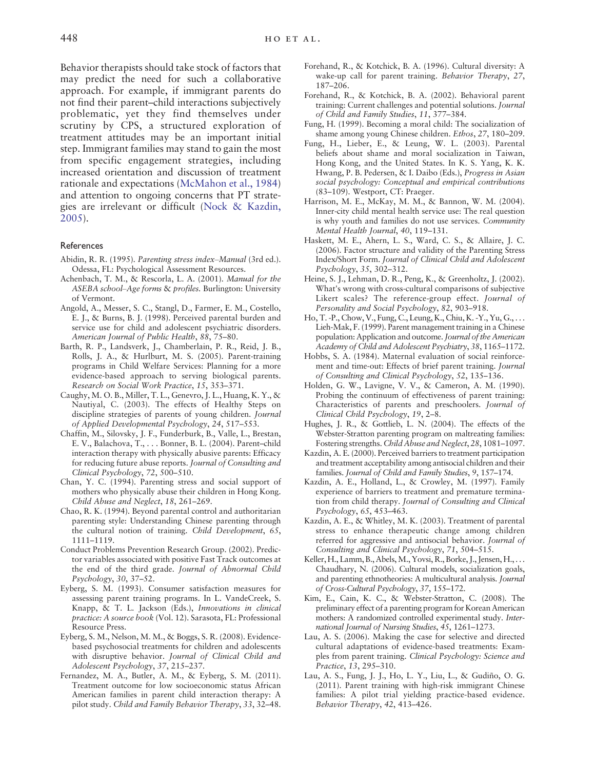<span id="page-12-0"></span>Behavior therapists should take stock of factors that may predict the need for such a collaborative approach. For example, if immigrant parents do not find their parent–child interactions subjectively problematic, yet they find themselves under scrutiny by CPS, a structured exploration of treatment attitudes may be an important initial step. Immigrant families may stand to gain the most from specific engagement strategies, including increased orientation and discussion of treatment rationale and expectations [\(McMahon et al., 1984\)](#page-13-0) and attention to ongoing concerns that PT strategies are irrelevant or difficult ([Nock & Kazdin,](#page-13-0) [2005](#page-13-0)).

### **References**

- Abidin, R. R. (1995). Parenting stress index–Manual (3rd ed.). Odessa, FL: Psychological Assessment Resources.
- Achenbach, T. M., & Rescorla, L. A. (2001). Manual for the ASEBA school–Age forms & profiles. Burlington: University of Vermont.
- Angold, A., Messer, S. C., Stangl, D., Farmer, E. M., Costello, E. J., & Burns, B. J. (1998). Perceived parental burden and service use for child and adolescent psychiatric disorders. American Journal of Public Health, 88, 75–80.
- Barth, R. P., Landsverk, J., Chamberlain, P. R., Reid, J. B., Rolls, J. A., & Hurlburt, M. S. (2005). Parent-training programs in Child Welfare Services: Planning for a more evidence-based approach to serving biological parents. Research on Social Work Practice, 15, 353–371.
- Caughy, M. O. B., Miller, T. L., Genevro, J. L., Huang, K. Y., & Nautiyal, C. (2003). The effects of Healthy Steps on discipline strategies of parents of young children. Journal of Applied Developmental Psychology, 24, 517–553.
- Chaffin, M., Silovsky, J. F., Funderburk, B., Valle, L., Brestan, E. V., Balachova, T., . . . Bonner, B. L. (2004). Parent–child interaction therapy with physically abusive parents: Efficacy for reducing future abuse reports. Journal of Consulting and Clinical Psychology, 72, 500–510.
- Chan, Y. C. (1994). Parenting stress and social support of mothers who physically abuse their children in Hong Kong. Child Abuse and Neglect, 18, 261–269.
- Chao, R. K. (1994). Beyond parental control and authoritarian parenting style: Understanding Chinese parenting through the cultural notion of training. Child Development, 65, 1111–1119.
- Conduct Problems Prevention Research Group. (2002). Predictor variables associated with positive Fast Track outcomes at the end of the third grade. Journal of Abnormal Child Psychology, 30, 37–52.
- Eyberg, S. M. (1993). Consumer satisfaction measures for assessing parent training programs. In L. VandeCreek, S. Knapp, & T. L. Jackson (Eds.), Innovations in clinical practice: A source book (Vol. 12). Sarasota, FL: Professional Resource Press.
- Eyberg, S. M., Nelson, M. M., & Boggs, S. R. (2008). Evidencebased psychosocial treatments for children and adolescents with disruptive behavior. Journal of Clinical Child and Adolescent Psychology, 37, 215–237.
- Fernandez, M. A., Butler, A. M., & Eyberg, S. M. (2011). Treatment outcome for low socioeconomic status African American families in parent child interaction therapy: A pilot study. Child and Family Behavior Therapy, 33, 32–48.
- Forehand, R., & Kotchick, B. A. (1996). Cultural diversity: A wake-up call for parent training. Behavior Therapy, 27, 187–206.
- Forehand, R., & Kotchick, B. A. (2002). Behavioral parent training: Current challenges and potential solutions. Journal of Child and Family Studies, 11, 377–384.
- Fung, H. (1999). Becoming a moral child: The socialization of shame among young Chinese children. Ethos, 27, 180–209.
- Fung, H., Lieber, E., & Leung, W. L. (2003). Parental beliefs about shame and moral socialization in Taiwan, Hong Kong, and the United States. In K. S. Yang, K. K. Hwang, P. B. Pedersen, & I. Daibo (Eds.), Progress in Asian social psychology: Conceptual and empirical contributions (83–109). Westport, CT: Praeger.
- Harrison, M. E., McKay, M. M., & Bannon, W. M. (2004). Inner-city child mental health service use: The real question is why youth and families do not use services. Community Mental Health Journal, 40, 119–131.
- Haskett, M. E., Ahern, L. S., Ward, C. S., & Allaire, J. C. (2006). Factor structure and validity of the Parenting Stress Index/Short Form. Journal of Clinical Child and Adolescent Psychology, 35, 302–312.
- Heine, S. J., Lehman, D. R., Peng, K., & Greenholtz, J. (2002). What's wrong with cross-cultural comparisons of subjective Likert scales? The reference-group effect. Journal of Personality and Social Psychology, 82, 903–918.
- Ho, T. -P., Chow, V., Fung, C., Leung, K., Chiu, K. -Y., Yu, G., . . . Lieh-Mak, F. (1999). Parent management training in a Chinese population: Application and outcome.Journal of the American Academy of Child and Adolescent Psychiatry, 38, 1165–1172.
- Hobbs, S. A. (1984). Maternal evaluation of social reinforcement and time-out: Effects of brief parent training. Journal of Consulting and Clinical Psychology, 52, 135–136.
- Holden, G. W., Lavigne, V. V., & Cameron, A. M. (1990). Probing the continuum of effectiveness of parent training: Characteristics of parents and preschoolers. Journal of Clinical Child Psychology, 19, 2–8.
- Hughes, J. R., & Gottlieb, L. N. (2004). The effects of the Webster-Stratton parenting program on maltreating families: Fostering strengths. Child Abuse and Neglect, 28, 1081–1097.
- Kazdin, A. E. (2000). Perceived barriers to treatment participation and treatment acceptability among antisocial children and their families. Journal of Child and Family Studies, 9, 157–174.
- Kazdin, A. E., Holland, L., & Crowley, M. (1997). Family experience of barriers to treatment and premature termination from child therapy. Journal of Consulting and Clinical Psychology, 65, 453–463.
- Kazdin, A. E., & Whitley, M. K. (2003). Treatment of parental stress to enhance therapeutic change among children referred for aggressive and antisocial behavior. Journal of Consulting and Clinical Psychology, 71, 504–515.
- Keller, H., Lamm, B., Abels, M., Yovsi, R., Borke, J., Jensen, H., ... Chaudhary, N. (2006). Cultural models, socialization goals, and parenting ethnotheories: A multicultural analysis. Journal of Cross-Cultural Psychology, 37, 155–172.
- Kim, E., Cain, K. C., & Webster-Stratton, C. (2008). The preliminary effect of a parenting program for Korean American mothers: A randomized controlled experimental study. International Journal of Nursing Studies, 45, 1261–1273.
- Lau, A. S. (2006). Making the case for selective and directed cultural adaptations of evidence-based treatments: Examples from parent training. Clinical Psychology: Science and Practice, 13, 295–310.
- Lau, A. S., Fung, J. J., Ho, L. Y., Liu, L., & Gudiño, O. G. (2011). Parent training with high-risk immigrant Chinese families: A pilot trial yielding practice-based evidence. Behavior Therapy, 42, 413–426.